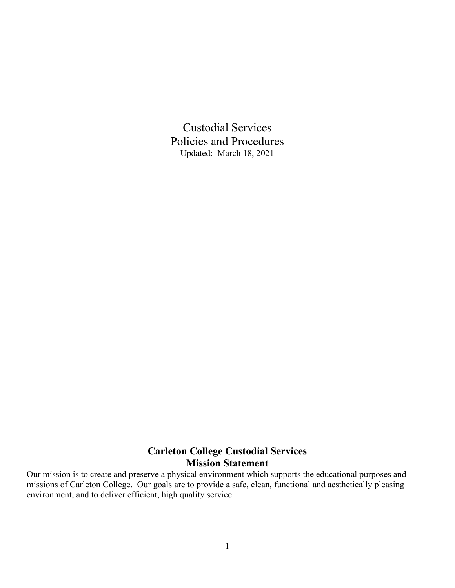Custodial Services Policies and Procedures Updated: March 18, 2021

# **Carleton College Custodial Services Mission Statement**

Our mission is to create and preserve a physical environment which supports the educational purposes and missions of Carleton College. Our goals are to provide a safe, clean, functional and aesthetically pleasing environment, and to deliver efficient, high quality service.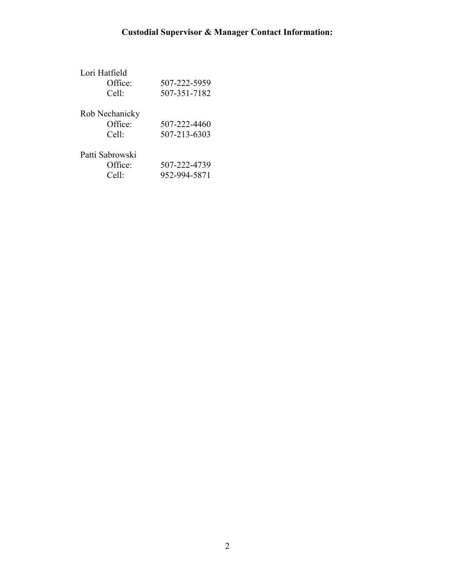| Lori Hatfield<br>Office:<br>Cell:   | 507-222-5959<br>507-351-7182 |
|-------------------------------------|------------------------------|
| Rob Nechanicky<br>Office:<br>Cell:  | 507-222-4460<br>507-213-6303 |
| Patti Sabrowski<br>Office:<br>Cell: | 507-222-4739<br>952-994-5871 |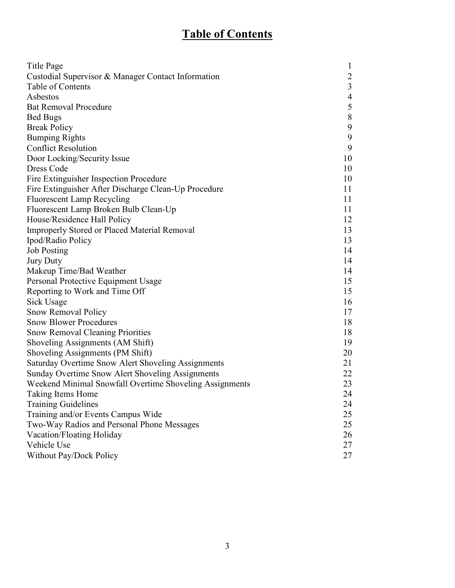# **Table of Contents**

| Title Page                                              | $\mathbf{1}$   |
|---------------------------------------------------------|----------------|
| Custodial Supervisor & Manager Contact Information      | $\overline{2}$ |
| Table of Contents                                       | $\mathfrak{Z}$ |
| Asbestos                                                | $\overline{4}$ |
| <b>Bat Removal Procedure</b>                            | 5              |
| <b>Bed Bugs</b>                                         | $8\,$          |
| <b>Break Policy</b>                                     | 9              |
| <b>Bumping Rights</b>                                   | 9              |
| <b>Conflict Resolution</b>                              | 9              |
| Door Locking/Security Issue                             | 10             |
| Dress Code                                              | 10             |
| Fire Extinguisher Inspection Procedure                  | 10             |
| Fire Extinguisher After Discharge Clean-Up Procedure    | 11             |
| <b>Fluorescent Lamp Recycling</b>                       | 11             |
| Fluorescent Lamp Broken Bulb Clean-Up                   | 11             |
| House/Residence Hall Policy                             | 12             |
| <b>Improperly Stored or Placed Material Removal</b>     | 13             |
| Ipod/Radio Policy                                       | 13             |
| <b>Job Posting</b>                                      | 14             |
| <b>Jury Duty</b>                                        | 14             |
| Makeup Time/Bad Weather                                 | 14             |
| Personal Protective Equipment Usage                     | 15             |
| Reporting to Work and Time Off                          | 15             |
| <b>Sick Usage</b>                                       | 16             |
| Snow Removal Policy                                     | 17             |
| <b>Snow Blower Procedures</b>                           | 18             |
| <b>Snow Removal Cleaning Priorities</b>                 | 18             |
| Shoveling Assignments (AM Shift)                        | 19             |
| Shoveling Assignments (PM Shift)                        | 20             |
| Saturday Overtime Snow Alert Shoveling Assignments      | 21             |
| Sunday Overtime Snow Alert Shoveling Assignments        | 22             |
| Weekend Minimal Snowfall Overtime Shoveling Assignments | 23             |
| Taking Items Home                                       | 24             |
| <b>Training Guidelines</b>                              | 24             |
| Training and/or Events Campus Wide                      | 25             |
| Two-Way Radios and Personal Phone Messages              | 25             |
| Vacation/Floating Holiday                               | 26             |
| Vehicle Use                                             | 27             |
| Without Pay/Dock Policy                                 | 27             |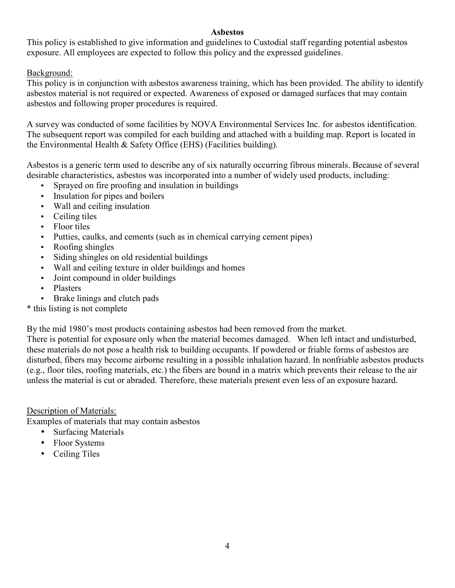#### **Asbestos**

This policy is established to give information and guidelines to Custodial staff regarding potential asbestos exposure. All employees are expected to follow this policy and the expressed guidelines.

#### Background:

This policy is in conjunction with asbestos awareness training, which has been provided. The ability to identify asbestos material is not required or expected. Awareness of exposed or damaged surfaces that may contain asbestos and following proper procedures is required.

A survey was conducted of some facilities by NOVA Environmental Services Inc. for asbestos identification. The subsequent report was compiled for each building and attached with a building map. Report is located in the Environmental Health & Safety Office (EHS) (Facilities building).

Asbestos is a generic term used to describe any of six naturally occurring fibrous minerals. Because of several desirable characteristics, asbestos was incorporated into a number of widely used products, including:

- Sprayed on fire proofing and insulation in buildings
- Insulation for pipes and boilers
- Wall and ceiling insulation
- Ceiling tiles
- Floor tiles
- Putties, caulks, and cements (such as in chemical carrying cement pipes)
- Roofing shingles
- Siding shingles on old residential buildings
- Wall and ceiling texture in older buildings and homes
- Joint compound in older buildings
- Plasters
- Brake linings and clutch pads
- \* this listing is not complete

By the mid 1980's most products containing asbestos had been removed from the market.

There is potential for exposure only when the material becomes damaged. When left intact and undisturbed, these materials do not pose a health risk to building occupants. If powdered or friable forms of asbestos are disturbed, fibers may become airborne resulting in a possible inhalation hazard. In nonfriable asbestos products (e.g., floor tiles, roofing materials, etc.) the fibers are bound in a matrix which prevents their release to the air unless the material is cut or abraded. Therefore, these materials present even less of an exposure hazard.

Description of Materials:

Examples of materials that may contain asbestos

- Surfacing Materials
- Floor Systems
- Ceiling Tiles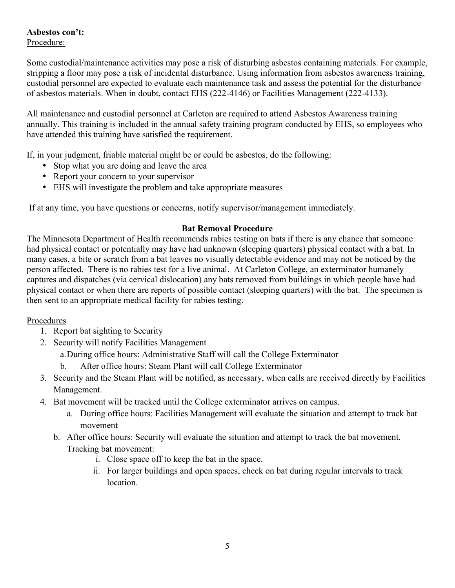#### **Asbestos con't:**  Procedure:

Some custodial/maintenance activities may pose a risk of disturbing asbestos containing materials. For example, stripping a floor may pose a risk of incidental disturbance. Using information from asbestos awareness training, custodial personnel are expected to evaluate each maintenance task and assess the potential for the disturbance of asbestos materials. When in doubt, contact EHS (222-4146) or Facilities Management (222-4133).

All maintenance and custodial personnel at Carleton are required to attend Asbestos Awareness training annually. This training is included in the annual safety training program conducted by EHS, so employees who have attended this training have satisfied the requirement.

If, in your judgment, friable material might be or could be asbestos, do the following:

- Stop what you are doing and leave the area
- Report your concern to your supervisor
- EHS will investigate the problem and take appropriate measures

If at any time, you have questions or concerns, notify supervisor/management immediately.

#### **Bat Removal Procedure**

The Minnesota Department of Health recommends rabies testing on bats if there is any chance that someone had physical contact or potentially may have had unknown (sleeping quarters) physical contact with a bat. In many cases, a bite or scratch from a bat leaves no visually detectable evidence and may not be noticed by the person affected. There is no rabies test for a live animal. At Carleton College, an exterminator humanely captures and dispatches (via cervical dislocation) any bats removed from buildings in which people have had physical contact or when there are reports of possible contact (sleeping quarters) with the bat. The specimen is then sent to an appropriate medical facility for rabies testing.

#### Procedures

- 1. Report bat sighting to Security
- 2. Security will notify Facilities Management

a.During office hours: Administrative Staff will call the College Exterminator

- b. After office hours: Steam Plant will call College Exterminator
- 3. Security and the Steam Plant will be notified, as necessary, when calls are received directly by Facilities Management.
- 4. Bat movement will be tracked until the College exterminator arrives on campus.
	- a. During office hours: Facilities Management will evaluate the situation and attempt to track bat movement
	- b. After office hours: Security will evaluate the situation and attempt to track the bat movement. Tracking bat movement:
		- i. Close space off to keep the bat in the space.
		- ii. For larger buildings and open spaces, check on bat during regular intervals to track location.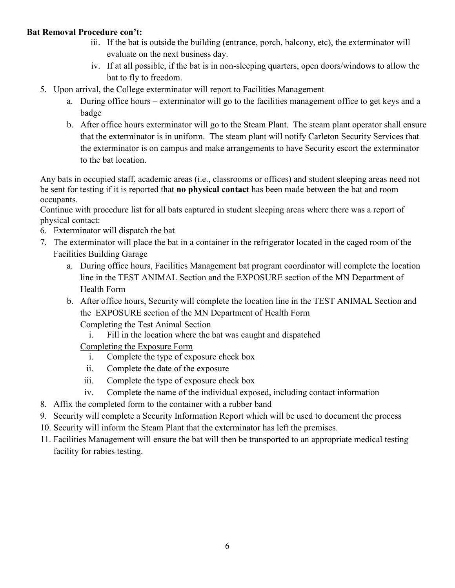#### **Bat Removal Procedure con't:**

- iii. If the bat is outside the building (entrance, porch, balcony, etc), the exterminator will evaluate on the next business day.
- iv. If at all possible, if the bat is in non-sleeping quarters, open doors/windows to allow the bat to fly to freedom.
- 5. Upon arrival, the College exterminator will report to Facilities Management
	- a. During office hours exterminator will go to the facilities management office to get keys and a badge
	- b. After office hours exterminator will go to the Steam Plant. The steam plant operator shall ensure that the exterminator is in uniform. The steam plant will notify Carleton Security Services that the exterminator is on campus and make arrangements to have Security escort the exterminator to the bat location.

Any bats in occupied staff, academic areas (i.e., classrooms or offices) and student sleeping areas need not be sent for testing if it is reported that **no physical contact** has been made between the bat and room occupants.

Continue with procedure list for all bats captured in student sleeping areas where there was a report of physical contact:

- 6. Exterminator will dispatch the bat
- 7. The exterminator will place the bat in a container in the refrigerator located in the caged room of the Facilities Building Garage
	- a. During office hours, Facilities Management bat program coordinator will complete the location line in the TEST ANIMAL Section and the EXPOSURE section of the MN Department of Health Form
	- b. After office hours, Security will complete the location line in the TEST ANIMAL Section and the EXPOSURE section of the MN Department of Health Form Completing the Test Animal Section
		- i. Fill in the location where the bat was caught and dispatched

Completing the Exposure Form

- i. Complete the type of exposure check box
- ii. Complete the date of the exposure
- iii. Complete the type of exposure check box
- iv. Complete the name of the individual exposed, including contact information
- 8. Affix the completed form to the container with a rubber band
- 9. Security will complete a Security Information Report which will be used to document the process
- 10. Security will inform the Steam Plant that the exterminator has left the premises.
- 11. Facilities Management will ensure the bat will then be transported to an appropriate medical testing facility for rabies testing.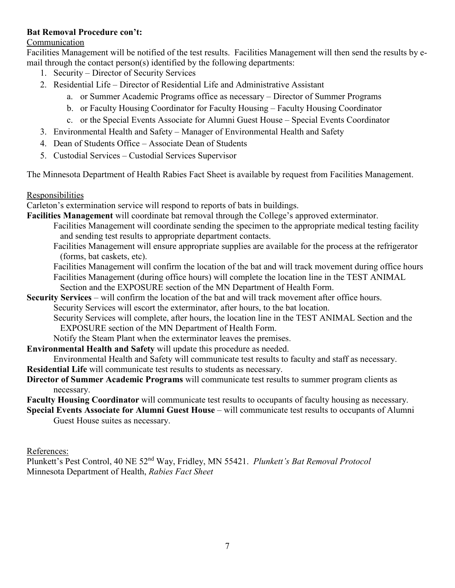#### **Bat Removal Procedure con't:**

#### Communication

Facilities Management will be notified of the test results. Facilities Management will then send the results by email through the contact person(s) identified by the following departments:

- 1. Security Director of Security Services
- 2. Residential Life Director of Residential Life and Administrative Assistant
	- a. or Summer Academic Programs office as necessary Director of Summer Programs
	- b. or Faculty Housing Coordinator for Faculty Housing Faculty Housing Coordinator
	- c. or the Special Events Associate for Alumni Guest House Special Events Coordinator
- 3. Environmental Health and Safety Manager of Environmental Health and Safety
- 4. Dean of Students Office Associate Dean of Students
- 5. Custodial Services Custodial Services Supervisor

The Minnesota Department of Health Rabies Fact Sheet is available by request from Facilities Management.

#### Responsibilities

Carleton's extermination service will respond to reports of bats in buildings.

**Facilities Management** will coordinate bat removal through the College's approved exterminator.

- Facilities Management will coordinate sending the specimen to the appropriate medical testing facility and sending test results to appropriate department contacts.
- Facilities Management will ensure appropriate supplies are available for the process at the refrigerator (forms, bat caskets, etc).
- Facilities Management will confirm the location of the bat and will track movement during office hours Facilities Management (during office hours) will complete the location line in the TEST ANIMAL Section and the EXPOSURE section of the MN Department of Health Form.
- **Security Services** will confirm the location of the bat and will track movement after office hours. Security Services will escort the exterminator, after hours, to the bat location.

Security Services will complete, after hours, the location line in the TEST ANIMAL Section and the

EXPOSURE section of the MN Department of Health Form.

- Notify the Steam Plant when the exterminator leaves the premises.
- **Environmental Health and Safety** will update this procedure as needed.

Environmental Health and Safety will communicate test results to faculty and staff as necessary.

- **Residential Life** will communicate test results to students as necessary.
- **Director of Summer Academic Programs** will communicate test results to summer program clients as necessary.

**Faculty Housing Coordinator** will communicate test results to occupants of faculty housing as necessary.

**Special Events Associate for Alumni Guest House** – will communicate test results to occupants of Alumni Guest House suites as necessary.

References:

Plunkett's Pest Control, 40 NE 52nd Way, Fridley, MN 55421. *Plunkett's Bat Removal Protocol*  Minnesota Department of Health, *Rabies Fact Sheet*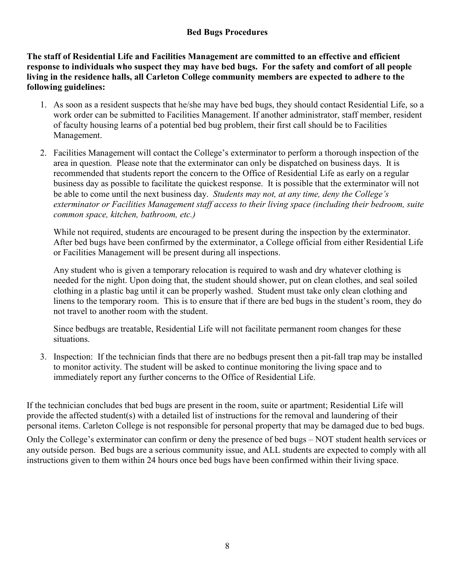#### **Bed Bugs Procedures**

**The staff of Residential Life and Facilities Management are committed to an effective and efficient response to individuals who suspect they may have bed bugs. For the safety and comfort of all people living in the residence halls, all Carleton College community members are expected to adhere to the following guidelines:** 

- 1. As soon as a resident suspects that he/she may have bed bugs, they should contact Residential Life, so a work order can be submitted to Facilities Management. If another administrator, staff member, resident of faculty housing learns of a potential bed bug problem, their first call should be to Facilities Management.
- 2. Facilities Management will contact the College's exterminator to perform a thorough inspection of the area in question. Please note that the exterminator can only be dispatched on business days. It is recommended that students report the concern to the Office of Residential Life as early on a regular business day as possible to facilitate the quickest response. It is possible that the exterminator will not be able to come until the next business day. *Students may not, at any time, deny the College's exterminator or Facilities Management staff access to their living space (including their bedroom, suite common space, kitchen, bathroom, etc.)*

While not required, students are encouraged to be present during the inspection by the exterminator. After bed bugs have been confirmed by the exterminator, a College official from either Residential Life or Facilities Management will be present during all inspections.

Any student who is given a temporary relocation is required to wash and dry whatever clothing is needed for the night. Upon doing that, the student should shower, put on clean clothes, and seal soiled clothing in a plastic bag until it can be properly washed. Student must take only clean clothing and linens to the temporary room. This is to ensure that if there are bed bugs in the student's room, they do not travel to another room with the student.

Since bedbugs are treatable, Residential Life will not facilitate permanent room changes for these situations.

3. Inspection: If the technician finds that there are no bedbugs present then a pit-fall trap may be installed to monitor activity. The student will be asked to continue monitoring the living space and to immediately report any further concerns to the Office of Residential Life.

If the technician concludes that bed bugs are present in the room, suite or apartment; Residential Life will provide the affected student(s) with a detailed list of instructions for the removal and laundering of their personal items. Carleton College is not responsible for personal property that may be damaged due to bed bugs.

Only the College's exterminator can confirm or deny the presence of bed bugs – NOT student health services or any outside person. Bed bugs are a serious community issue, and ALL students are expected to comply with all instructions given to them within 24 hours once bed bugs have been confirmed within their living space.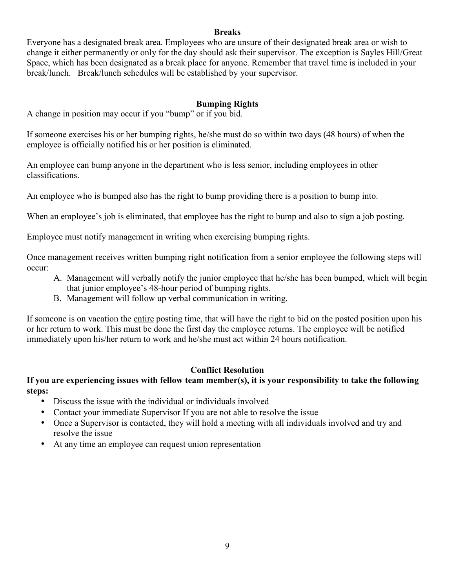#### **Breaks**

Everyone has a designated break area. Employees who are unsure of their designated break area or wish to change it either permanently or only for the day should ask their supervisor. The exception is Sayles Hill/Great Space, which has been designated as a break place for anyone. Remember that travel time is included in your break/lunch. Break/lunch schedules will be established by your supervisor.

#### **Bumping Rights**

A change in position may occur if you "bump" or if you bid.

If someone exercises his or her bumping rights, he/she must do so within two days (48 hours) of when the employee is officially notified his or her position is eliminated.

An employee can bump anyone in the department who is less senior, including employees in other classifications.

An employee who is bumped also has the right to bump providing there is a position to bump into.

When an employee's job is eliminated, that employee has the right to bump and also to sign a job posting.

Employee must notify management in writing when exercising bumping rights.

Once management receives written bumping right notification from a senior employee the following steps will occur:

- A. Management will verbally notify the junior employee that he/she has been bumped, which will begin that junior employee's 48-hour period of bumping rights.
- B. Management will follow up verbal communication in writing.

If someone is on vacation the entire posting time, that will have the right to bid on the posted position upon his or her return to work. This must be done the first day the employee returns. The employee will be notified immediately upon his/her return to work and he/she must act within 24 hours notification.

#### **Conflict Resolution**

#### **If you are experiencing issues with fellow team member(s), it is your responsibility to take the following steps:**

- Discuss the issue with the individual or individuals involved
- Contact your immediate Supervisor If you are not able to resolve the issue
- Once a Supervisor is contacted, they will hold a meeting with all individuals involved and try and resolve the issue
- At any time an employee can request union representation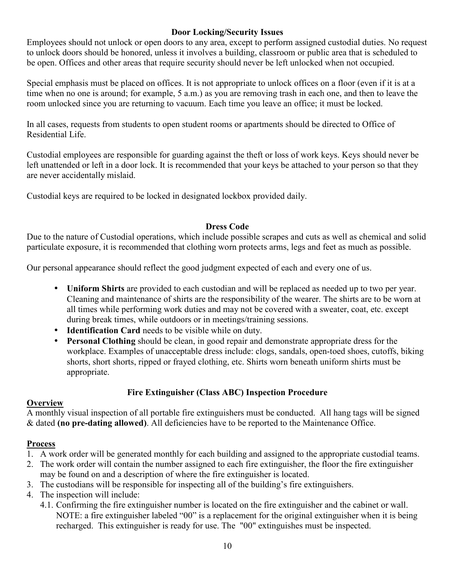#### **Door Locking/Security Issues**

Employees should not unlock or open doors to any area, except to perform assigned custodial duties. No request to unlock doors should be honored, unless it involves a building, classroom or public area that is scheduled to be open. Offices and other areas that require security should never be left unlocked when not occupied.

Special emphasis must be placed on offices. It is not appropriate to unlock offices on a floor (even if it is at a time when no one is around; for example, 5 a.m.) as you are removing trash in each one, and then to leave the room unlocked since you are returning to vacuum. Each time you leave an office; it must be locked.

In all cases, requests from students to open student rooms or apartments should be directed to Office of Residential Life.

Custodial employees are responsible for guarding against the theft or loss of work keys. Keys should never be left unattended or left in a door lock. It is recommended that your keys be attached to your person so that they are never accidentally mislaid.

Custodial keys are required to be locked in designated lockbox provided daily.

#### **Dress Code**

Due to the nature of Custodial operations, which include possible scrapes and cuts as well as chemical and solid particulate exposure, it is recommended that clothing worn protects arms, legs and feet as much as possible.

Our personal appearance should reflect the good judgment expected of each and every one of us.

- **Uniform Shirts** are provided to each custodian and will be replaced as needed up to two per year. Cleaning and maintenance of shirts are the responsibility of the wearer. The shirts are to be worn at all times while performing work duties and may not be covered with a sweater, coat, etc. except during break times, while outdoors or in meetings/training sessions.
- **Identification Card** needs to be visible while on duty.
- **Personal Clothing** should be clean, in good repair and demonstrate appropriate dress for the workplace. Examples of unacceptable dress include: clogs, sandals, open-toed shoes, cutoffs, biking shorts, short shorts, ripped or frayed clothing, etc. Shirts worn beneath uniform shirts must be appropriate.

# **Fire Extinguisher (Class ABC) Inspection Procedure**

#### **Overview**

A monthly visual inspection of all portable fire extinguishers must be conducted. All hang tags will be signed & dated **(no pre-dating allowed)**. All deficiencies have to be reported to the Maintenance Office.

#### **Process**

- 1. A work order will be generated monthly for each building and assigned to the appropriate custodial teams.
- 2. The work order will contain the number assigned to each fire extinguisher, the floor the fire extinguisher may be found on and a description of where the fire extinguisher is located.
- 3. The custodians will be responsible for inspecting all of the building's fire extinguishers.
- 4. The inspection will include:
	- 4.1. Confirming the fire extinguisher number is located on the fire extinguisher and the cabinet or wall. NOTE: a fire extinguisher labeled "00" is a replacement for the original extinguisher when it is being recharged. This extinguisher is ready for use. The "00" extinguishes must be inspected.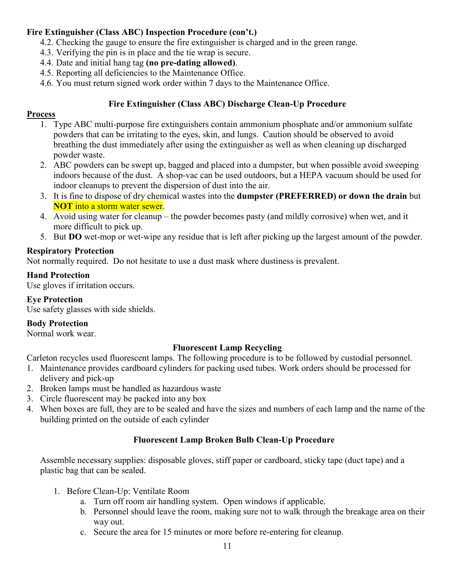## **Fire Extinguisher (Class ABC) Inspection Procedure (con't.)**

- 4.2. Checking the gauge to ensure the fire extinguisher is charged and in the green range.
- 4.3. Verifying the pin is in place and the tie wrap is secure.
- 4.4. Date and initial hang tag **(no pre-dating allowed)**.
- 4.5. Reporting all deficiencies to the Maintenance Office.
- 4.6. You must return signed work order within 7 days to the Maintenance Office.

#### **Fire Extinguisher (Class ABC) Discharge Clean-Up Procedure**

#### **Process**

- 1. Type ABC multi-purpose fire extinguishers contain ammonium phosphate and/or ammonium sulfate powders that can be irritating to the eyes, skin, and lungs. Caution should be observed to avoid breathing the dust immediately after using the extinguisher as well as when cleaning up discharged powder waste.
- 2. ABC powders can be swept up, bagged and placed into a dumpster, but when possible avoid sweeping indoors because of the dust. A shop-vac can be used outdoors, but a HEPA vacuum should be used for indoor cleanups to prevent the dispersion of dust into the air.
- 3. It is fine to dispose of dry chemical wastes into the **dumpster (PREFERRED) or down the drain** but **NOT** into a storm water sewer.
- 4. Avoid using water for cleanup the powder becomes pasty (and mildly corrosive) when wet, and it more difficult to pick up.
- 5. But **DO** wet-mop or wet-wipe any residue that is left after picking up the largest amount of the powder.

#### **Respiratory Protection**

Not normally required. Do not hesitate to use a dust mask where dustiness is prevalent.

#### **Hand Protection**

Use gloves if irritation occurs.

#### **Eye Protection**

Use safety glasses with side shields.

#### **Body Protection**

Normal work wear.

#### **Fluorescent Lamp Recycling**

Carleton recycles used fluorescent lamps. The following procedure is to be followed by custodial personnel.

- 1. Maintenance provides cardboard cylinders for packing used tubes. Work orders should be processed for delivery and pick-up
- 2. Broken lamps must be handled as hazardous waste
- 3. Circle fluorescent may be packed into any box
- 4. When boxes are full, they are to be sealed and have the sizes and numbers of each lamp and the name of the building printed on the outside of each cylinder

#### **Fluorescent Lamp Broken Bulb Clean-Up Procedure**

Assemble necessary supplies: disposable gloves, stiff paper or cardboard, sticky tape (duct tape) and a plastic bag that can be sealed.

- 1. Before Clean-Up: Ventilate Room
	- a. Turn off room air handling system. Open windows if applicable.
	- b. Personnel should leave the room, making sure not to walk through the breakage area on their way out.
	- c. Secure the area for 15 minutes or more before re-entering for cleanup.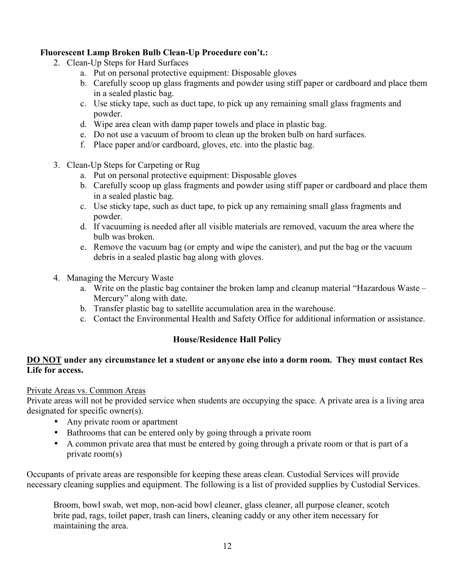#### **Fluorescent Lamp Broken Bulb Clean-Up Procedure con't.:**

- 2. Clean-Up Steps for Hard Surfaces
	- a. Put on personal protective equipment: Disposable gloves
	- b. Carefully scoop up glass fragments and powder using stiff paper or cardboard and place them in a sealed plastic bag.
	- c. Use sticky tape, such as duct tape, to pick up any remaining small glass fragments and powder.
	- d. Wipe area clean with damp paper towels and place in plastic bag.
	- e. Do not use a vacuum of broom to clean up the broken bulb on hard surfaces.
	- f. Place paper and/or cardboard, gloves, etc. into the plastic bag.
- 3. Clean-Up Steps for Carpeting or Rug
	- a. Put on personal protective equipment: Disposable gloves
	- b. Carefully scoop up glass fragments and powder using stiff paper or cardboard and place them in a sealed plastic bag.
	- c. Use sticky tape, such as duct tape, to pick up any remaining small glass fragments and powder.
	- d. If vacuuming is needed after all visible materials are removed, vacuum the area where the bulb was broken.
	- e. Remove the vacuum bag (or empty and wipe the canister), and put the bag or the vacuum debris in a sealed plastic bag along with gloves.
- 4. Managing the Mercury Waste
	- a. Write on the plastic bag container the broken lamp and cleanup material "Hazardous Waste Mercury" along with date.
	- b. Transfer plastic bag to satellite accumulation area in the warehouse.
	- c. Contact the Environmental Health and Safety Office for additional information or assistance.

#### **House/Residence Hall Policy**

#### **DO NOT under any circumstance let a student or anyone else into a dorm room. They must contact Res Life for access.**

#### Private Areas vs. Common Areas

Private areas will not be provided service when students are occupying the space. A private area is a living area designated for specific owner(s).

- Any private room or apartment
- Bathrooms that can be entered only by going through a private room
- A common private area that must be entered by going through a private room or that is part of a private room(s)

Occupants of private areas are responsible for keeping these areas clean. Custodial Services will provide necessary cleaning supplies and equipment. The following is a list of provided supplies by Custodial Services.

Broom, bowl swab, wet mop, non-acid bowl cleaner, glass cleaner, all purpose cleaner, scotch brite pad, rags, toilet paper, trash can liners, cleaning caddy or any other item necessary for maintaining the area.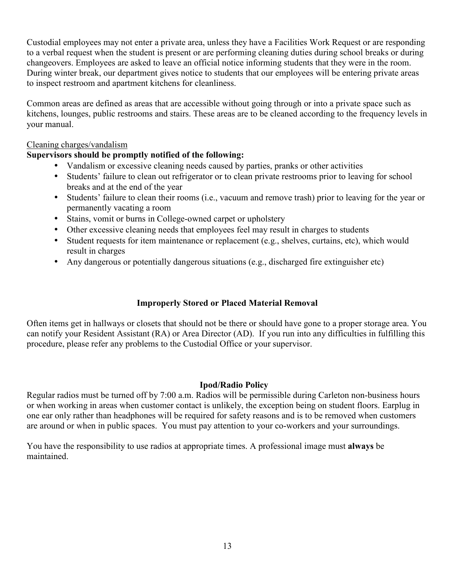Custodial employees may not enter a private area, unless they have a Facilities Work Request or are responding to a verbal request when the student is present or are performing cleaning duties during school breaks or during changeovers. Employees are asked to leave an official notice informing students that they were in the room. During winter break, our department gives notice to students that our employees will be entering private areas to inspect restroom and apartment kitchens for cleanliness.

Common areas are defined as areas that are accessible without going through or into a private space such as kitchens, lounges, public restrooms and stairs. These areas are to be cleaned according to the frequency levels in your manual.

#### Cleaning charges/vandalism

#### **Supervisors should be promptly notified of the following:**

- Vandalism or excessive cleaning needs caused by parties, pranks or other activities
- Students' failure to clean out refrigerator or to clean private restrooms prior to leaving for school breaks and at the end of the year
- Students' failure to clean their rooms (i.e., vacuum and remove trash) prior to leaving for the year or permanently vacating a room
- Stains, vomit or burns in College-owned carpet or upholstery
- Other excessive cleaning needs that employees feel may result in charges to students
- Student requests for item maintenance or replacement (e.g., shelves, curtains, etc), which would result in charges
- Any dangerous or potentially dangerous situations (e.g., discharged fire extinguisher etc)

#### **Improperly Stored or Placed Material Removal**

Often items get in hallways or closets that should not be there or should have gone to a proper storage area. You can notify your Resident Assistant (RA) or Area Director (AD). If you run into any difficulties in fulfilling this procedure, please refer any problems to the Custodial Office or your supervisor.

#### **Ipod/Radio Policy**

Regular radios must be turned off by 7:00 a.m. Radios will be permissible during Carleton non-business hours or when working in areas when customer contact is unlikely, the exception being on student floors. Earplug in one ear only rather than headphones will be required for safety reasons and is to be removed when customers are around or when in public spaces. You must pay attention to your co-workers and your surroundings.

You have the responsibility to use radios at appropriate times. A professional image must **always** be maintained.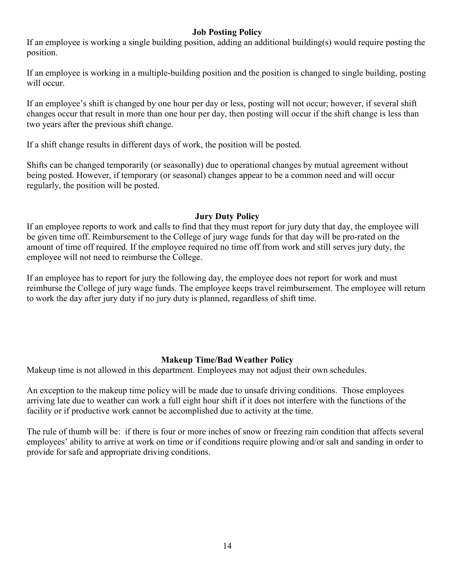#### **Job Posting Policy**

If an employee is working a single building position, adding an additional building(s) would require posting the position.

If an employee is working in a multiple-building position and the position is changed to single building, posting will occur.

If an employee's shift is changed by one hour per day or less, posting will not occur; however, if several shift changes occur that result in more than one hour per day, then posting will occur if the shift change is less than two years after the previous shift change.

If a shift change results in different days of work, the position will be posted.

Shifts can be changed temporarily (or seasonally) due to operational changes by mutual agreement without being posted. However, if temporary (or seasonal) changes appear to be a common need and will occur regularly, the position will be posted.

#### **Jury Duty Policy**

If an employee reports to work and calls to find that they must report for jury duty that day, the employee will be given time off. Reimbursement to the College of jury wage funds for that day will be pro-rated on the amount of time off required. If the employee required no time off from work and still serves jury duty, the employee will not need to reimburse the College.

If an employee has to report for jury the following day, the employee does not report for work and must reimburse the College of jury wage funds. The employee keeps travel reimbursement. The employee will return to work the day after jury duty if no jury duty is planned, regardless of shift time.

#### **Makeup Time/Bad Weather Policy**

Makeup time is not allowed in this department. Employees may not adjust their own schedules.

An exception to the makeup time policy will be made due to unsafe driving conditions. Those employees arriving late due to weather can work a full eight hour shift if it does not interfere with the functions of the facility or if productive work cannot be accomplished due to activity at the time.

The rule of thumb will be: if there is four or more inches of snow or freezing rain condition that affects several employees' ability to arrive at work on time or if conditions require plowing and/or salt and sanding in order to provide for safe and appropriate driving conditions.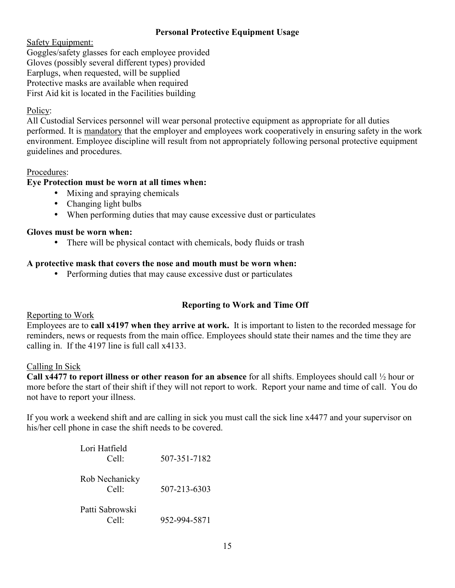#### **Personal Protective Equipment Usage**

Safety Equipment:

Goggles/safety glasses for each employee provided Gloves (possibly several different types) provided Earplugs, when requested, will be supplied Protective masks are available when required First Aid kit is located in the Facilities building

## Policy:

All Custodial Services personnel will wear personal protective equipment as appropriate for all duties performed. It is mandatory that the employer and employees work cooperatively in ensuring safety in the work environment. Employee discipline will result from not appropriately following personal protective equipment guidelines and procedures.

#### Procedures:

#### **Eye Protection must be worn at all times when:**

- Mixing and spraying chemicals
- Changing light bulbs
- When performing duties that may cause excessive dust or particulates

#### **Gloves must be worn when:**

• There will be physical contact with chemicals, body fluids or trash

#### **A protective mask that covers the nose and mouth must be worn when:**

• Performing duties that may cause excessive dust or particulates

# **Reporting to Work and Time Off**

#### Reporting to Work

Employees are to **call x4197 when they arrive at work.** It is important to listen to the recorded message for reminders, news or requests from the main office. Employees should state their names and the time they are calling in. If the 4197 line is full call x4133.

#### Calling In Sick

**Call x4477 to report illness or other reason for an absence** for all shifts. Employees should call ½ hour or more before the start of their shift if they will not report to work. Report your name and time of call. You do not have to report your illness.

If you work a weekend shift and are calling in sick you must call the sick line x4477 and your supervisor on his/her cell phone in case the shift needs to be covered.

| Lori Hatfield<br>Cell <sup>1</sup>  | 507-351-7182 |
|-------------------------------------|--------------|
| Rob Nechanicky<br>Cell <sup>1</sup> | 507-213-6303 |
| Patti Sabrowski<br>$\cap$ -11.      | 952-994-5871 |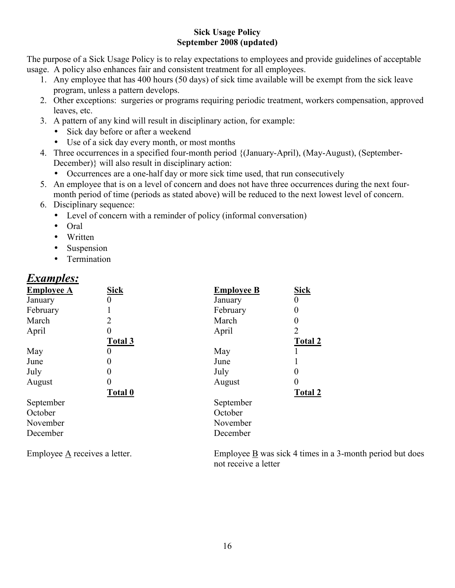#### **Sick Usage Policy September 2008 (updated)**

The purpose of a Sick Usage Policy is to relay expectations to employees and provide guidelines of acceptable usage. A policy also enhances fair and consistent treatment for all employees.

- 1. Any employee that has 400 hours (50 days) of sick time available will be exempt from the sick leave program, unless a pattern develops.
- 2. Other exceptions: surgeries or programs requiring periodic treatment, workers compensation, approved leaves, etc.
- 3. A pattern of any kind will result in disciplinary action, for example:
	- Sick day before or after a weekend
	- Use of a sick day every month, or most months
- 4. Three occurrences in a specified four-month period {(January-April), (May-August), (September-December)} will also result in disciplinary action:
	- Occurrences are a one-half day or more sick time used, that run consecutively
- 5. An employee that is on a level of concern and does not have three occurrences during the next fourmonth period of time (periods as stated above) will be reduced to the next lowest level of concern.
- 6. Disciplinary sequence:
	- Level of concern with a reminder of policy (informal conversation)
	- Oral
	- Written
	- Suspension
	- Termination

# *Examples:*

| <b>Employee A</b> | <b>Sick</b>    | <b>Employee B</b> | <b>Sick</b>    |
|-------------------|----------------|-------------------|----------------|
| January           |                | January           | 0              |
| February          |                | February          | 0              |
| March             | 2              | March             | 0              |
| April             |                | April             | $\overline{2}$ |
|                   | <b>Total 3</b> |                   | Total 2        |
| May               |                | May               |                |
| June              |                | June              |                |
| July              |                | July              | 0              |
| August            |                | August            | 0              |
|                   | <b>Total 0</b> |                   | Total 2        |
| September         |                | September         |                |
| October           |                | October           |                |
| November          |                | November          |                |
| December          |                | December          |                |

Employee A receives a letter. Employee B was sick 4 times in a 3-month period but does not receive a letter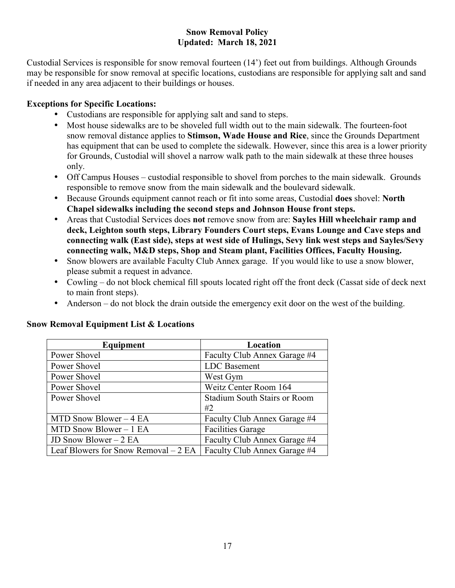#### **Snow Removal Policy Updated: March 18, 2021**

Custodial Services is responsible for snow removal fourteen (14') feet out from buildings. Although Grounds may be responsible for snow removal at specific locations, custodians are responsible for applying salt and sand if needed in any area adjacent to their buildings or houses.

#### **Exceptions for Specific Locations:**

- Custodians are responsible for applying salt and sand to steps.
- Most house sidewalks are to be shoveled full width out to the main sidewalk. The fourteen-foot snow removal distance applies to **Stimson, Wade House and Rice**, since the Grounds Department has equipment that can be used to complete the sidewalk. However, since this area is a lower priority for Grounds, Custodial will shovel a narrow walk path to the main sidewalk at these three houses only.
- Off Campus Houses custodial responsible to shovel from porches to the main sidewalk. Grounds responsible to remove snow from the main sidewalk and the boulevard sidewalk.
- Because Grounds equipment cannot reach or fit into some areas, Custodial **does** shovel: **North Chapel sidewalks including the second steps and Johnson House front steps.**
- Areas that Custodial Services does **not** remove snow from are: **Sayles Hill wheelchair ramp and deck, Leighton south steps, Library Founders Court steps, Evans Lounge and Cave steps and connecting walk (East side), steps at west side of Hulings, Sevy link west steps and Sayles/Sevy connecting walk, M&D steps, Shop and Steam plant, Facilities Offices, Faculty Housing.**
- Snow blowers are available Faculty Club Annex garage. If you would like to use a snow blower, please submit a request in advance.
- Cowling do not block chemical fill spouts located right off the front deck (Cassat side of deck next to main front steps).
- Anderson do not block the drain outside the emergency exit door on the west of the building.

| Equipment                             | Location                            |
|---------------------------------------|-------------------------------------|
| Power Shovel                          | Faculty Club Annex Garage #4        |
| Power Shovel                          | LDC Basement                        |
| Power Shovel                          | West Gym                            |
| Power Shovel                          | Weitz Center Room 164               |
| Power Shovel                          | <b>Stadium South Stairs or Room</b> |
|                                       | #2                                  |
| MTD Snow Blower – 4 EA                | Faculty Club Annex Garage #4        |
| MTD Snow Blower $-1$ EA               | <b>Facilities Garage</b>            |
| JD Snow Blower $-2$ EA                | Faculty Club Annex Garage #4        |
| Leaf Blowers for Snow Removal $-2$ EA | Faculty Club Annex Garage #4        |

#### **Snow Removal Equipment List & Locations**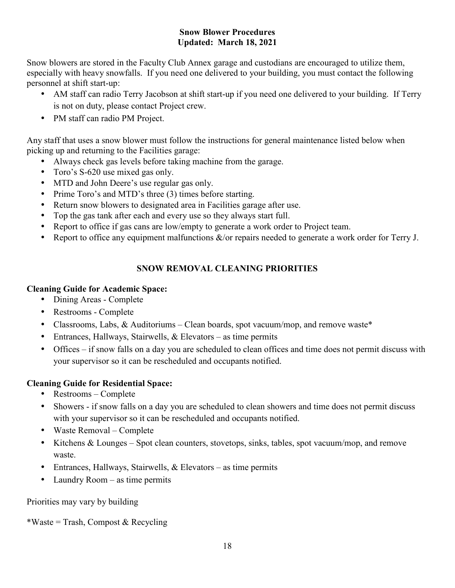#### **Snow Blower Procedures Updated: March 18, 2021**

Snow blowers are stored in the Faculty Club Annex garage and custodians are encouraged to utilize them, especially with heavy snowfalls. If you need one delivered to your building, you must contact the following personnel at shift start-up:

- AM staff can radio Terry Jacobson at shift start-up if you need one delivered to your building. If Terry is not on duty, please contact Project crew.
- PM staff can radio PM Project.

Any staff that uses a snow blower must follow the instructions for general maintenance listed below when picking up and returning to the Facilities garage:

- Always check gas levels before taking machine from the garage.
- Toro's S-620 use mixed gas only.
- MTD and John Deere's use regular gas only.
- Prime Toro's and MTD's three (3) times before starting.
- Return snow blowers to designated area in Facilities garage after use.
- Top the gas tank after each and every use so they always start full.
- Report to office if gas cans are low/empty to generate a work order to Project team.
- Report to office any equipment malfunctions  $\&$ /or repairs needed to generate a work order for Terry J.

# **SNOW REMOVAL CLEANING PRIORITIES**

#### **Cleaning Guide for Academic Space:**

- Dining Areas Complete
- Restrooms Complete
- Classrooms, Labs, & Auditoriums Clean boards, spot vacuum/mop, and remove waste\*
- Entrances, Hallways, Stairwells, & Elevators as time permits
- Offices if snow falls on a day you are scheduled to clean offices and time does not permit discuss with your supervisor so it can be rescheduled and occupants notified.

#### **Cleaning Guide for Residential Space:**

- Restrooms Complete
- Showers if snow falls on a day you are scheduled to clean showers and time does not permit discuss with your supervisor so it can be rescheduled and occupants notified.
- Waste Removal Complete
- Kitchens & Lounges Spot clean counters, stovetops, sinks, tables, spot vacuum/mop, and remove waste.
- Entrances, Hallways, Stairwells, & Elevators as time permits
- Laundry Room  $-$  as time permits

#### Priorities may vary by building

\*Waste = Trash, Compost & Recycling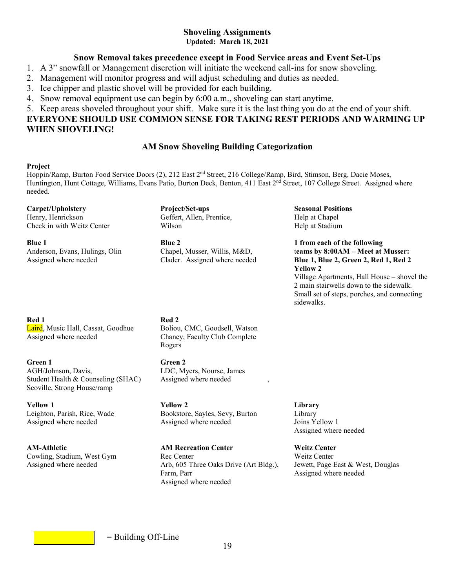#### **Shoveling Assignments Updated: March 18, 2021**

#### **Snow Removal takes precedence except in Food Service areas and Event Set-Ups**

- 1. A 3" snowfall or Management discretion will initiate the weekend call-ins for snow shoveling.
- 2. Management will monitor progress and will adjust scheduling and duties as needed.
- 3. Ice chipper and plastic shovel will be provided for each building.
- 4. Snow removal equipment use can begin by 6:00 a.m., shoveling can start anytime.

#### 5. Keep areas shoveled throughout your shift. Make sure it is the last thing you do at the end of your shift. **EVERYONE SHOULD USE COMMON SENSE FOR TAKING REST PERIODS AND WARMING UP WHEN SHOVELING!**

#### **AM Snow Shoveling Building Categorization**

#### **Project**

Hoppin/Ramp, Burton Food Service Doors (2), 212 East 2nd Street, 216 College/Ramp, Bird, Stimson, Berg, Dacie Moses, Huntington, Hunt Cottage, Williams, Evans Patio, Burton Deck, Benton, 411 East 2<sup>nd</sup> Street, 107 College Street. Assigned where needed.

**Carpet/Upholstery Project/Set-ups Seasonal Positions** 

Check in with Weitz Center Wilson Wilson **Help at Stadium** 

Red 1 Red 2 Laird, Music Hall, Cassat, Goodhue Boliou, CMC, Goodsell, Watson Assigned where needed Chaney, Faculty Club Complete

**Green 1** Green 2 AGH/Johnson, Davis, LDC, Myers, Nourse, James Student Health & Counseling (SHAC) Assigned where needed Scoville, Strong House/ramp

Geffert, Allen, Prentice, **Help at Chapel** 

**Blue 1 Blue 2 Blue 2 Blue 2 1 from each of the following** 

Rogers

**Yellow 1 Yellow 2 Library**  Leighton, Parish, Rice, Wade Bookstore, Sayles, Sevy, Burton Library Assigned where needed Assigned where needed Joins Yellow 1

**AM-Athletic AM Recreation Center Weitz Center** Cowling, Stadium, West Gym Rec Center Weitz Center Assigned where needed Arb, 605 Three Oaks Drive (Art Bldg.), Jewett, Page East & West, Douglas<br>Farm, Parr Assigned where needed Assigned where needed

Anderson, Evans, Hulings, OlinChapel, Musser, Willis, M&D, t**eams by 8:00AM – Meet at Musser:**  Assigned where needed Clader. Assigned where needed **Blue 1, Blue 2, Green 2, Red 1, Red 2 Yellow 2** Village Apartments, Hall House – shovel the 2 main stairwells down to the sidewalk. Small set of steps, porches, and connecting **sidewalks. Solution**  $\mathbf{S}$  **is the sidewalks.** 

Assigned where needed

Assigned where needed



= Building Off-Line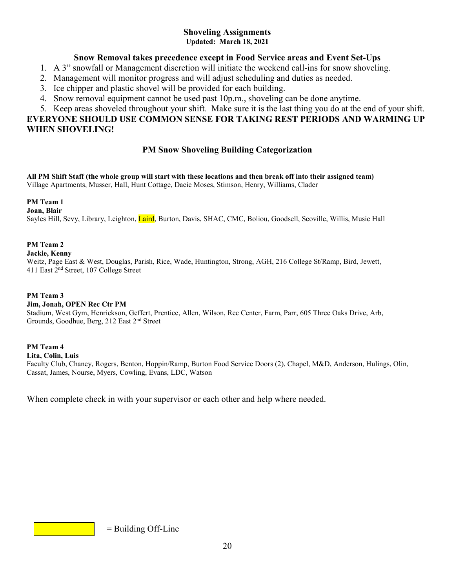# **Shoveling Assignments**

**Updated: March 18, 2021** 

#### **Snow Removal takes precedence except in Food Service areas and Event Set-Ups**

- 1. A 3" snowfall or Management discretion will initiate the weekend call-ins for snow shoveling.
- 2. Management will monitor progress and will adjust scheduling and duties as needed.
- 3. Ice chipper and plastic shovel will be provided for each building.
- 4. Snow removal equipment cannot be used past 10p.m., shoveling can be done anytime.

#### 5. Keep areas shoveled throughout your shift. Make sure it is the last thing you do at the end of your shift. **EVERYONE SHOULD USE COMMON SENSE FOR TAKING REST PERIODS AND WARMING UP WHEN SHOVELING!**

# **PM Snow Shoveling Building Categorization**

**All PM Shift Staff (the whole group will start with these locations and then break off into their assigned team)**  Village Apartments, Musser, Hall, Hunt Cottage, Dacie Moses, Stimson, Henry, Williams, Clader

**PM Team 1** 

**Joan, Blair** 

Sayles Hill, Sevy, Library, Leighton, Laird, Burton, Davis, SHAC, CMC, Boliou, Goodsell, Scoville, Willis, Music Hall

#### **PM Team 2**

**Jackie, Kenny**

Weitz, Page East & West, Douglas, Parish, Rice, Wade, Huntington, Strong, AGH, 216 College St/Ramp, Bird, Jewett, 411 East 2nd Street, 107 College Street

#### **PM Team 3**

#### **Jim, Jonah, OPEN Rec Ctr PM**

Stadium, West Gym, Henrickson, Geffert, Prentice, Allen, Wilson, Rec Center, Farm, Parr, 605 Three Oaks Drive, Arb, Grounds, Goodhue, Berg, 212 East 2nd Street

**PM Team 4** 

**Lita, Colin, Luis** 

Faculty Club, Chaney, Rogers, Benton, Hoppin/Ramp, Burton Food Service Doors (2), Chapel, M&D, Anderson, Hulings, Olin, Cassat, James, Nourse, Myers, Cowling, Evans, LDC, Watson

When complete check in with your supervisor or each other and help where needed.

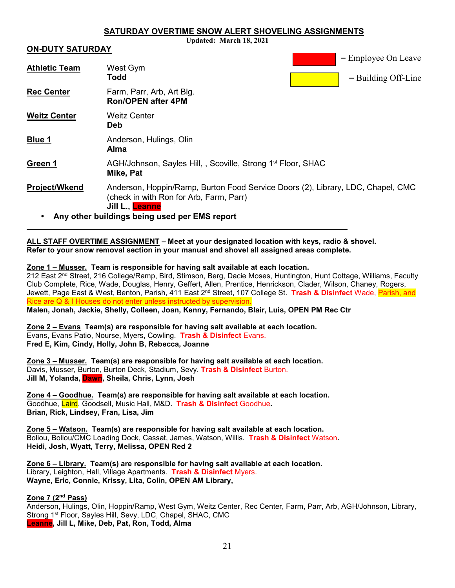#### **SATURDAY OVERTIME SNOW ALERT SHOVELING ASSIGNMENTS**

 $E = 1$ .  $E = 0$ . Leave

**Updated: March 18, 2021** 

#### **ON-DUTY SATURDAY**

 $\overline{a}$ 

|                      |                                                                                                                                               |  | $=$ Employee On Leave |
|----------------------|-----------------------------------------------------------------------------------------------------------------------------------------------|--|-----------------------|
| <b>Athletic Team</b> | West Gym<br><b>Todd</b>                                                                                                                       |  | $=$ Building Off-Line |
| <b>Rec Center</b>    | Farm, Parr, Arb, Art Blg.<br><b>Ron/OPEN after 4PM</b>                                                                                        |  |                       |
| <b>Weitz Center</b>  | <b>Weitz Center</b><br><b>Deb</b>                                                                                                             |  |                       |
| <b>Blue 1</b>        | Anderson, Hulings, Olin<br>Alma                                                                                                               |  |                       |
| Green 1              | AGH/Johnson, Sayles Hill, , Scoville, Strong 1 <sup>st</sup> Floor, SHAC<br>Mike, Pat                                                         |  |                       |
| <b>Project/Wkend</b> | Anderson, Hoppin/Ramp, Burton Food Service Doors (2), Library, LDC, Chapel, CMC<br>(check in with Ron for Arb, Farm, Parr)<br>Jill L., Leanne |  |                       |
|                      | Any other buildings being used per EMS report                                                                                                 |  |                       |

**ALL STAFF OVERTIME ASSIGNMENT – Meet at your designated location with keys, radio & shovel. Refer to your snow removal section in your manual and shovel all assigned areas complete.** 

#### **Zone 1 – Musser. Team is responsible for having salt available at each location.**

212 East 2nd Street, 216 College/Ramp, Bird, Stimson, Berg, Dacie Moses, Huntington, Hunt Cottage, Williams, Faculty Club Complete, Rice, Wade, Douglas, Henry, Geffert, Allen, Prentice, Henrickson, Clader, Wilson, Chaney, Rogers, Jewett, Page East & West, Benton, Parish, 411 East 2<u>nd Street, 107 College St</u>. <mark>Trash & Disinfect</mark> Wade, <mark>Parish, and</mark> Rice are Q & I Houses do not enter unless instructed by supervision. **Malen, Jonah, Jackie, Shelly, Colleen, Joan, Kenny, Fernando, Blair, Luis, OPEN PM Rec Ctr** 

**Zone 2 – Evans Team(s) are responsible for having salt available at each location.** 

Evans, Evans Patio, Nourse, Myers, Cowling. **Trash & Disinfect** Evans. **Fred E, Kim, Cindy, Holly, John B, Rebecca, Joanne** 

**Zone 3 – Musser. Team(s) are responsible for having salt available at each location.**  Davis, Musser, Burton, Burton Deck, Stadium, Sevy. **Trash & Disinfect** Burton. **Jill M, Yolanda, Dawn, Sheila, Chris, Lynn, Josh** 

**Zone 4 – Goodhue. Team(s) are responsible for having salt available at each location.**  Goodhue, Laird, Goodsell, Music Hall, M&D. **Trash & Disinfect** Goodhue**. Brian, Rick, Lindsey, Fran, Lisa, Jim** 

**Zone 5 – Watson. Team(s) are responsible for having salt available at each location.**  Boliou, Boliou/CMC Loading Dock, Cassat, James, Watson, Willis. **Trash & Disinfect** Watson**. Heidi, Josh, Wyatt, Terry, Melissa, OPEN Red 2** 

**Zone 6 – Library. Team(s) are responsible for having salt available at each location.**  Library, Leighton, Hall, Village Apartments. **Trash & Disinfect** Myers. **Wayne, Eric, Connie, Krissy, Lita, Colin, OPEN AM Library,** 

#### **Zone 7 (2nd Pass)**

Anderson, Hulings, Olin, Hoppin/Ramp, West Gym, Weitz Center, Rec Center, Farm, Parr, Arb, AGH/Johnson, Library, Strong 1st Floor, Sayles Hill, Sevy, LDC, Chapel, SHAC, CMC **Leanne, Jill L, Mike, Deb, Pat, Ron, Todd, Alma**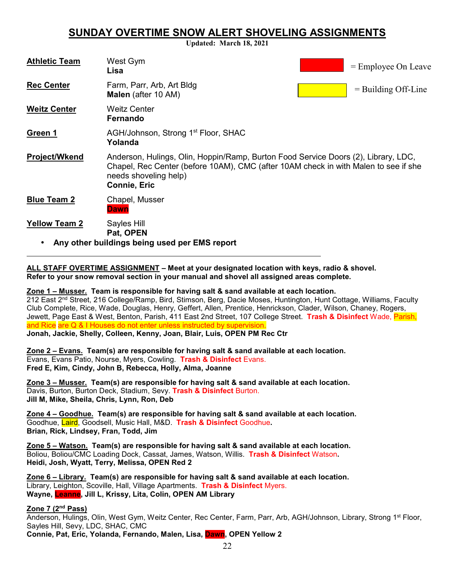# **SUNDAY OVERTIME SNOW ALERT SHOVELING ASSIGNMENTS**

**Updated: March 18, 2021**

| <b>Athletic Team</b> | West Gym<br>Lisa                                                                                                                                                                                                          | $=$ Employee On Leave |
|----------------------|---------------------------------------------------------------------------------------------------------------------------------------------------------------------------------------------------------------------------|-----------------------|
| <b>Rec Center</b>    | Farm, Parr, Arb, Art Bldg<br><b>Malen</b> (after 10 AM)                                                                                                                                                                   | $=$ Building Off-Line |
| <b>Weitz Center</b>  | <b>Weitz Center</b><br>Fernando                                                                                                                                                                                           |                       |
| Green 1              | AGH/Johnson, Strong 1 <sup>st</sup> Floor, SHAC<br>Yolanda                                                                                                                                                                |                       |
| <b>Project/Wkend</b> | Anderson, Hulings, Olin, Hoppin/Ramp, Burton Food Service Doors (2), Library, LDC,<br>Chapel, Rec Center (before 10AM), CMC (after 10AM check in with Malen to see if she<br>needs shoveling help)<br><b>Connie, Eric</b> |                       |
| <b>Blue Team 2</b>   | Chapel, Musser<br>Dawn                                                                                                                                                                                                    |                       |
| <b>Yellow Team 2</b> | Sayles Hill<br>Pat, OPEN<br>Any other buildings being used per EMS report                                                                                                                                                 |                       |

**ALL STAFF OVERTIME ASSIGNMENT – Meet at your designated location with keys, radio & shovel. Refer to your snow removal section in your manual and shovel all assigned areas complete.** 

**Zone 1 – Musser. Team is responsible for having salt & sand available at each location.** 

212 East 2nd Street, 216 College/Ramp, Bird, Stimson, Berg, Dacie Moses, Huntington, Hunt Cottage, Williams, Faculty Club Complete, Rice, Wade, Douglas, Henry, Geffert, Allen, Prentice, Henrickson, Clader, Wilson, Chaney, Rogers, Jewett, Page East & West, Benton, Parish, 411 East 2nd Street, 107 College Street. **Trash & Disinfect** Wade, Parish, and Rice are Q & I Houses do not enter unless instructed by supervision. **Jonah, Jackie, Shelly, Colleen, Kenny, Joan, Blair, Luis, OPEN PM Rec Ctr** 

**Zone 2 – Evans. Team(s) are responsible for having salt & sand available at each location.**  Evans, Evans Patio, Nourse, Myers, Cowling. **Trash & Disinfect** Evans. **Fred E, Kim, Cindy, John B, Rebecca, Holly, Alma, Joanne** 

**Zone 3 – Musser. Team(s) are responsible for having salt & sand available at each location.**  Davis, Burton, Burton Deck, Stadium, Sevy. **Trash & Disinfect** Burton. **Jill M, Mike, Sheila, Chris, Lynn, Ron, Deb** 

**Zone 4 – Goodhue. Team(s) are responsible for having salt & sand available at each location.**  Goodhue, Laird, Goodsell, Music Hall, M&D. **Trash & Disinfect** Goodhue**. Brian, Rick, Lindsey, Fran, Todd, Jim** 

**Zone 5 – Watson. Team(s) are responsible for having salt & sand available at each location.**  Boliou, Boliou/CMC Loading Dock, Cassat, James, Watson, Willis. **Trash & Disinfect** Watson**. Heidi, Josh, Wyatt, Terry, Melissa, OPEN Red 2** 

**Zone 6 – Library. Team(s) are responsible for having salt & sand available at each location.**  Library, Leighton, Scoville, Hall, Village Apartments. **Trash & Disinfect** Myers. **Wayne, Leanne, Jill L, Krissy, Lita, Colin, OPEN AM Library** 

#### **Zone 7 (2nd Pass)**

 $\overline{a}$ 

Anderson, Hulings, Olin, West Gym, Weitz Center, Rec Center, Farm, Parr, Arb, AGH/Johnson, Library, Strong 1st Floor, Sayles Hill, Sevy, LDC, SHAC, CMC **Connie, Pat, Eric, Yolanda, Fernando, Malen, Lisa, Dawn, OPEN Yellow 2**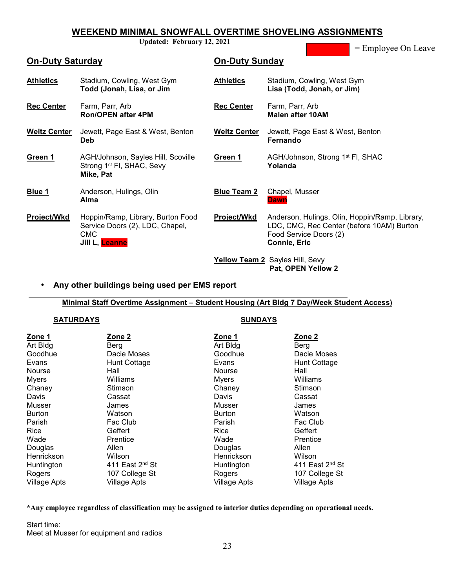## **WEEKEND MINIMAL SNOWFALL OVERTIME SHOVELING ASSIGNMENTS**

**Updated: February 12, 2021** 

= Employee On Leave

| <b>On-Duty Saturday</b> |                                                                                                      | <b>On-Duty Sunday</b> |                                                                                                                                              |
|-------------------------|------------------------------------------------------------------------------------------------------|-----------------------|----------------------------------------------------------------------------------------------------------------------------------------------|
| <b>Athletics</b>        | Stadium, Cowling, West Gym<br>Todd (Jonah, Lisa, or Jim                                              | <b>Athletics</b>      | Stadium, Cowling, West Gym<br>Lisa (Todd, Jonah, or Jim)                                                                                     |
| <b>Rec Center</b>       | Farm, Parr, Arb<br><b>Ron/OPEN after 4PM</b>                                                         | <b>Rec Center</b>     | Farm, Parr, Arb<br><b>Malen after 10AM</b>                                                                                                   |
| <b>Weitz Center</b>     | Jewett, Page East & West, Benton<br>Deb.                                                             | <b>Weitz Center</b>   | Jewett, Page East & West, Benton<br>Fernando                                                                                                 |
| Green 1                 | AGH/Johnson, Sayles Hill, Scoville<br>Strong 1 <sup>st</sup> FI, SHAC, Sevy<br>Mike, Pat             | Green 1               | AGH/Johnson, Strong 1 <sup>st</sup> FI, SHAC<br>Yolanda                                                                                      |
| Blue 1                  | Anderson, Hulings, Olin<br><b>Alma</b>                                                               | <b>Blue Team 2</b>    | Chapel, Musser<br><b>Dawn</b>                                                                                                                |
| Project/Wkd             | Hoppin/Ramp, Library, Burton Food<br>Service Doors (2), LDC, Chapel,<br><b>CMC</b><br>Jill L, Leanne | Project/Wkd           | Anderson, Hulings, Olin, Hoppin/Ramp, Library,<br>LDC, CMC, Rec Center (before 10AM) Burton<br>Food Service Doors (2)<br><b>Connie, Eric</b> |
|                         |                                                                                                      |                       | Yellow Team 2 Sayles Hill, Sevy<br>Pat, OPEN Yellow 2                                                                                        |

#### • **Any other buildings being used per EMS report**

#### **Minimal Staff Overtime Assignment – Student Housing (Art Bldg 7 Day/Week Student Access)**

#### **SATURDAYS** SUNDAYS

l

| Zone 1<br>Art Bldg<br>Goodhue<br>Evans<br><b>Nourse</b><br><b>Myers</b><br>Chaney<br>Davis<br>Musser<br><b>Burton</b><br>Parish | Zone 2<br>Berg<br>Dacie Moses<br>Hunt Cottage<br>Hall<br>Williams<br>Stimson<br>Cassat<br>James<br>Watson<br>Fac Club | Zone 1<br>Art Bldg<br>Goodhue<br>Evans<br><b>Nourse</b><br>Myers<br>Chaney<br>Davis<br>Musser<br><b>Burton</b><br>Parish | Zone 2<br>Berg<br>Dacie Moses<br>Hunt Cottage<br>Hall<br>Williams<br><b>Stimson</b><br>Cassat<br>James<br>Watson<br>Fac Club |
|---------------------------------------------------------------------------------------------------------------------------------|-----------------------------------------------------------------------------------------------------------------------|--------------------------------------------------------------------------------------------------------------------------|------------------------------------------------------------------------------------------------------------------------------|
|                                                                                                                                 |                                                                                                                       |                                                                                                                          |                                                                                                                              |
|                                                                                                                                 |                                                                                                                       |                                                                                                                          |                                                                                                                              |
|                                                                                                                                 |                                                                                                                       |                                                                                                                          |                                                                                                                              |
|                                                                                                                                 |                                                                                                                       |                                                                                                                          |                                                                                                                              |
|                                                                                                                                 |                                                                                                                       |                                                                                                                          |                                                                                                                              |
| Rice                                                                                                                            | Geffert                                                                                                               | Rice                                                                                                                     | Geffert                                                                                                                      |
| Wade                                                                                                                            | Prentice                                                                                                              | Wade                                                                                                                     | Prentice                                                                                                                     |
| Douglas                                                                                                                         | Allen                                                                                                                 | Douglas                                                                                                                  | Allen                                                                                                                        |
| Henrickson                                                                                                                      | Wilson                                                                                                                | Henrickson                                                                                                               | Wilson                                                                                                                       |
| Huntington                                                                                                                      | 411 East 2 <sup>nd</sup> St                                                                                           | Huntington                                                                                                               | 411 East $2nd$ St                                                                                                            |
| Rogers                                                                                                                          | 107 College St                                                                                                        | Rogers                                                                                                                   | 107 College St                                                                                                               |
| <b>Village Apts</b>                                                                                                             | Village Apts                                                                                                          | <b>Village Apts</b>                                                                                                      | <b>Village Apts</b>                                                                                                          |

#### **\*Any employee regardless of classification may be assigned to interior duties depending on operational needs.**

Start time: Meet at Musser for equipment and radios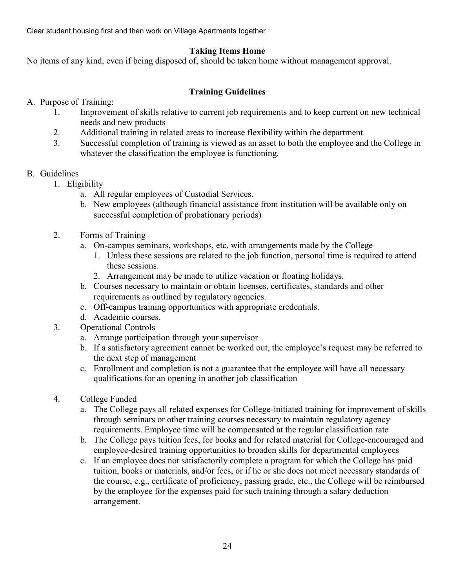Clear student housing first and then work on Village Apartments together

# **Taking Items Home**

No items of any kind, even if being disposed of, should be taken home without management approval.

# **Training Guidelines**

#### A. Purpose of Training:

- 1. Improvement of skills relative to current job requirements and to keep current on new technical needs and new products
- 2. Additional training in related areas to increase flexibility within the department
- 3. Successful completion of training is viewed as an asset to both the employee and the College in whatever the classification the employee is functioning.

# B. Guidelines

- 1. Eligibility
	- a. All regular employees of Custodial Services.
		- b. New employees (although financial assistance from institution will be available only on successful completion of probationary periods)
- 2. Forms of Training
	- a. On-campus seminars, workshops, etc. with arrangements made by the College
		- 1. Unless these sessions are related to the job function, personal time is required to attend these sessions.
		- 2. Arrangement may be made to utilize vacation or floating holidays.
	- b. Courses necessary to maintain or obtain licenses, certificates, standards and other requirements as outlined by regulatory agencies.
	- c. Off-campus training opportunities with appropriate credentials.
	- d. Academic courses.
- 3. Operational Controls
	- a. Arrange participation through your supervisor
	- b. If a satisfactory agreement cannot be worked out, the employee's request may be referred to the next step of management
	- c. Enrollment and completion is not a guarantee that the employee will have all necessary qualifications for an opening in another job classification
- 4. College Funded
	- a. The College pays all related expenses for College-initiated training for improvement of skills through seminars or other training courses necessary to maintain regulatory agency requirements. Employee time will be compensated at the regular classification rate
	- b. The College pays tuition fees, for books and for related material for College-encouraged and employee-desired training opportunities to broaden skills for departmental employees
	- c. If an employee does not satisfactorily complete a program for which the College has paid tuition, books or materials, and/or fees, or if he or she does not meet necessary standards of the course, e.g., certificate of proficiency, passing grade, etc., the College will be reimbursed by the employee for the expenses paid for such training through a salary deduction arrangement.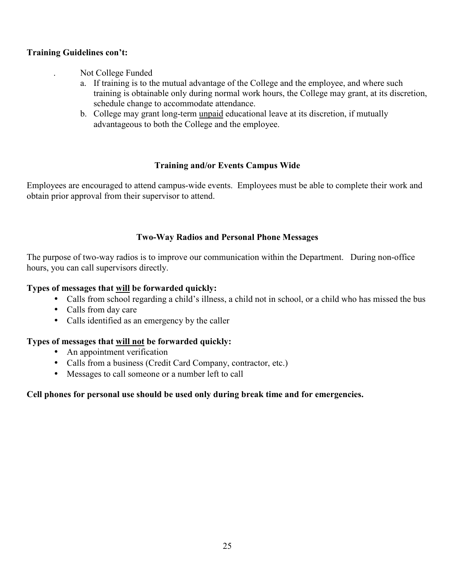#### **Training Guidelines con't:**

. Not College Funded

- a. If training is to the mutual advantage of the College and the employee, and where such training is obtainable only during normal work hours, the College may grant, at its discretion, schedule change to accommodate attendance.
- b. College may grant long-term unpaid educational leave at its discretion, if mutually advantageous to both the College and the employee.

#### **Training and/or Events Campus Wide**

Employees are encouraged to attend campus-wide events. Employees must be able to complete their work and obtain prior approval from their supervisor to attend.

#### **Two-Way Radios and Personal Phone Messages**

The purpose of two-way radios is to improve our communication within the Department. During non-office hours, you can call supervisors directly.

#### **Types of messages that will be forwarded quickly:**

- Calls from school regarding a child's illness, a child not in school, or a child who has missed the bus
- Calls from day care
- Calls identified as an emergency by the caller

# **Types of messages that will not be forwarded quickly:**

- An appointment verification
- Calls from a business (Credit Card Company, contractor, etc.)
- Messages to call someone or a number left to call

#### **Cell phones for personal use should be used only during break time and for emergencies.**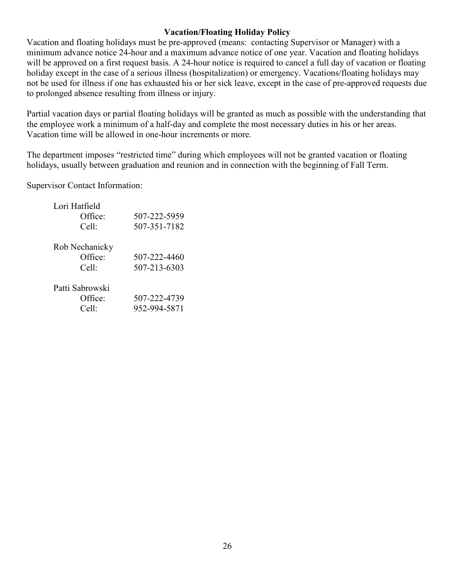#### **Vacation/Floating Holiday Policy**

Vacation and floating holidays must be pre-approved (means: contacting Supervisor or Manager) with a minimum advance notice 24-hour and a maximum advance notice of one year. Vacation and floating holidays will be approved on a first request basis. A 24-hour notice is required to cancel a full day of vacation or floating holiday except in the case of a serious illness (hospitalization) or emergency. Vacations/floating holidays may not be used for illness if one has exhausted his or her sick leave, except in the case of pre-approved requests due to prolonged absence resulting from illness or injury.

Partial vacation days or partial floating holidays will be granted as much as possible with the understanding that the employee work a minimum of a half-day and complete the most necessary duties in his or her areas. Vacation time will be allowed in one-hour increments or more.

The department imposes "restricted time" during which employees will not be granted vacation or floating holidays, usually between graduation and reunion and in connection with the beginning of Fall Term.

Supervisor Contact Information:

| Lori Hatfield<br>Office:<br>Cell:   | 507-222-5959<br>507-351-7182 |
|-------------------------------------|------------------------------|
| Rob Nechanicky<br>Office:<br>Cell:  | 507-222-4460<br>507-213-6303 |
| Patti Sabrowski<br>Office:<br>Cell: | 507-222-4739<br>952-994-5871 |